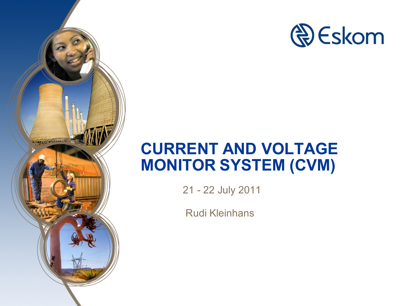

## **CURRENT AND VOLTAGE MONITOR SYSTEM (CVM)**

21 - 22 July 2011

**WINDOWS AREA PARTIES** 

Rudi Kleinhans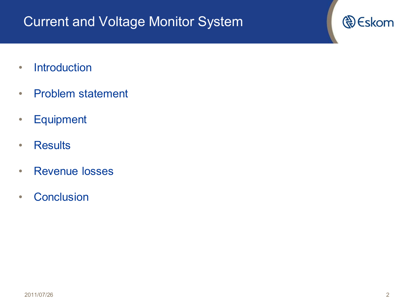#### Current and Voltage Monitor System

- Introduction
- Problem statement
- Equipment
- Results
- Revenue losses
- Conclusion

**D** Eskom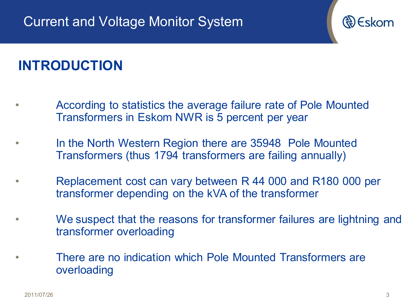

#### **INTRODUCTION**

- According to statistics the average failure rate of Pole Mounted Transformers in Eskom NWR is 5 percent per year
- In the North Western Region there are 35948 Pole Mounted Transformers (thus 1794 transformers are failing annually)
- Replacement cost can vary between R 44 000 and R180 000 per transformer depending on the kVA of the transformer
- We suspect that the reasons for transformer failures are lightning and transformer overloading
- There are no indication which Pole Mounted Transformers are overloading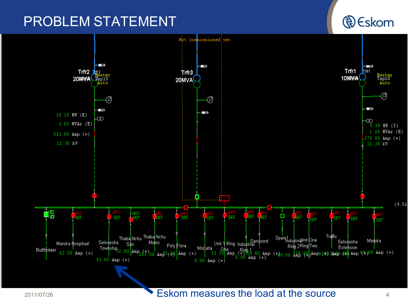#### PROBLEM STATEMENT

Not com issioned!vet <mark>├─</mark>⋻<br>∏rfr1 i sk Trfr1  $Trfr2$   $hr2$ Trfr3 10MWA naster<br>Tap10<br>Auto 20MWA Bp10 20MVA Auto ⊛ ⊛ ⊛ i<br>D - 30 - 31  $10.10 MW (E)$ -00 ∞  $3.02$  MVAr  $(E)$  $.30$  MW  $(I)$ 65 MVAr (E)  $513.00$  Amp  $(+)$ 270.00 Amp (+) 11.35 kV 11.38 kV li s  $(9, 51)$ 嗡 **SEF SEF SEF SEF** SEF **SEF** SEF Δ  $-$  SEF 3EF **ISEF** Thaba Nchu Thaba Nchu Traffic Spare1<br>Ring 2Ring Two<br>Ring 2Ring Two Unit 1 Ring Industrial Maroka Selosesha Selosasha Muhic Maroka Hospitaal Sun Poly Flora Extension Township<sub>32</sub> la Ohe Ring 2Ring Iwo L Extension (<br>11.00 Amp (+) 15,9.00 Amp (+) 00 Am<sup>p</sup> (4) Amp0 (+) 14mp*5 (*04) Amp (4)<sup>00</sup> Amp (+)<br>1πp (+) 5.00 Amp (+) Mot]atla Bultfontein  $100 \text{ Amp}_{153} / 00 \text{ Amp}_{5(4)}$  $62.00$  Amp (+) 93.00 Amp  $(+)$  $0.00$  Amp  $(+)$ 

#### 2011/07/26 **Eskom measures the load at the source**

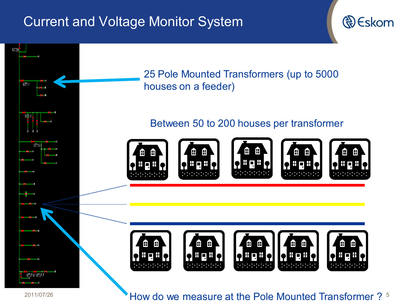#### Current and Voltage Monitor System



<sup>2011/07/26</sup> **Example 2011/07/26 State 3 and State 3 and State 3 and State 3 and State 3 and State 3 and State 3 and State 3 and State 3 and State 3 and State 3 and State 3 and State 3 and State 3 and State 3 and State 3**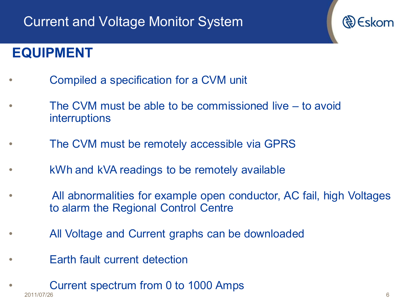#### **EQUIPMENT**

- Compiled a specification for a CVM unit
- The CVM must be able to be commissioned live to avoid interruptions
- The CVM must be remotely accessible via GPRS
- kWh and kVA readings to be remotely available
- All abnormalities for example open conductor, AC fail, high Voltages to alarm the Regional Control Centre
- All Voltage and Current graphs can be downloaded
- Earth fault current detection
- 2011/07/26 6 • Current spectrum from 0 to 1000 Amps

Re Eskom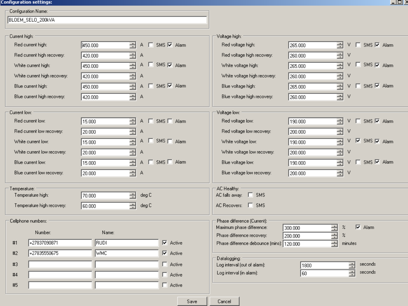#### **Configuration settings:**

- Configuration Name: -

| BLOEM_SELO_200kVA            |              |                                 |                                                         |                                                                                        |
|------------------------------|--------------|---------------------------------|---------------------------------------------------------|----------------------------------------------------------------------------------------|
| Current high:                |              |                                 | Voltage high:                                           |                                                                                        |
| Red current high:            | 글<br>A50.000 | A □ SMS ≥ Alarm                 | Red voltage high:                                       | 를<br>□ SMS 区 Alarm<br>265.000<br>V.                                                    |
| Red current high recovery:   | 골<br>420.000 | А                               | Red voltage high recovery:                              | 골<br>٧<br>260.000                                                                      |
| White current high:          | 킄<br>450.000 | $A \Box$ SMS $\nabla$ Alarm     | White voltage high:                                     | $V$ $\Box$ SMS $\overline{M}$ Alarm<br>극<br>265.000                                    |
| White current high recovery: | 골<br>420.000 | А                               | White voltage high recovery:                            | 글<br>ν<br>260.000                                                                      |
| Blue current high:           | 곡<br>450.000 | A □ SMS Ø Alarm                 | Blue voltage high:                                      | 극<br>$V$ $\Box$ SMS $\overline{M}$ Alarm<br>265.000                                    |
| Blue current high recovery:  | 곡<br>420.000 | А                               | Blue voltage high recovery:                             | 금<br>V<br>260.000                                                                      |
| Current low:                 |              |                                 | Voltage low:                                            |                                                                                        |
| Red current low:             | 를<br>15.000  | A<br>$\Box$ SMS $\Box$ Alarm    | Red voltage low:                                        | $\Box$ SMS $\overline{\triangledown}$ Alarm<br>190.000<br>를<br>٧                       |
| Red current low recovery:    | 금<br>20.000  | А                               | Red voltage low recovery:                               | 급<br>v<br>200.000                                                                      |
| White current low:           | 긐<br>15.000  | $A \square$ SMS $\square$ Alarm | White voltage low:                                      | V 区 SMS 区 Alarm<br>극<br>190.000                                                        |
| White current low recovery:  | 골<br>20.000  | А                               | White voltage low recovery:                             | 긐<br>v<br>200.000                                                                      |
| Blue current low:            | 긐<br>15.000  | A F SMS F Alarm                 | Blue voltage low:                                       | $V$ $\Box$ SMS $\overline{M}$ Alarm<br>릌<br>190.000                                    |
| Blue current low recovery:   | 골<br>20.000  | А                               | Blue voltage low recovery:                              | 골<br>200.000<br>٧                                                                      |
| Temperature:                 |              |                                 | AC Healthy:                                             |                                                                                        |
| Temperature high:            | 금<br>70.000  | deg C                           | AC falls away: E SMS                                    |                                                                                        |
| Temperature high recovery:   | 극<br>60.000  | deg C                           | AC Recovers: F SMS                                      |                                                                                        |
| Cellphone numbers:           |              |                                 | Phase difference (Current):                             |                                                                                        |
| Number:                      | Name:        |                                 | Maximum phase difference:<br>Phase difference recovery: | $\nabla$ Alarm<br>$\boldsymbol{z}$<br>300.000<br>$\boldsymbol{\mathcal{Z}}$<br>200.000 |
| +27837090871<br>#1           | RUDI         | $\nabla$ Active                 | Phase difference debounce (mins): 120,000               | <b>ENERGIE</b><br>minutes                                                              |
| +27835550675<br>#2           | <b>MMC</b>   | $\nabla$ Active                 |                                                         |                                                                                        |
| #3                           |              | $\Box$ Active                   | Datalogging:<br>Log interval (out of alarm):            | seconds<br>1800                                                                        |
| #4                           |              | $\Box$ Active                   | Log interval (in alarm):                                | E<br>seconds<br>$\vert$ 60                                                             |
| #5                           |              | $\Box$ Active                   |                                                         |                                                                                        |
|                              |              |                                 |                                                         |                                                                                        |
|                              |              | Save                            | Cancel                                                  |                                                                                        |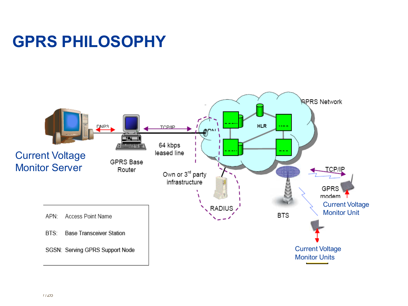## **GPRS PHILOSOPHY**

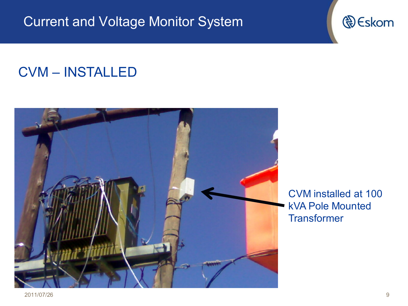Current and Voltage Monitor System

#### CVM – INSTALLED



CVM installed at 100 kVA Pole Mounted **Transformer**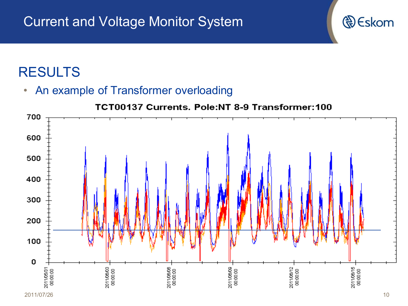• An example of Transformer overloading

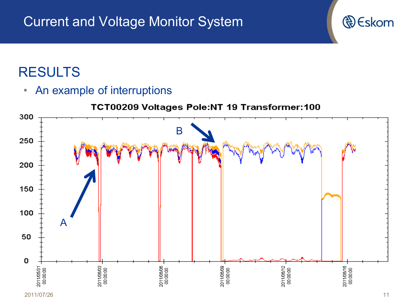• An example of interruptions

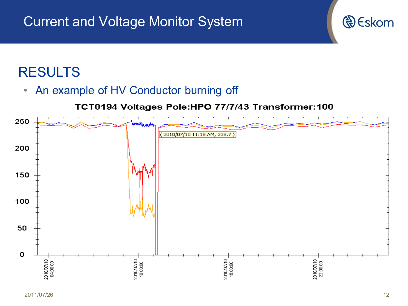• An example of HV Conductor burning off

#### TCT0194 Voltages Pole:HPO 77/7/43 Transformer:100

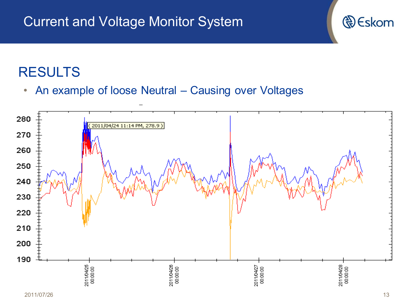#### Current and Voltage Monitor System



• An example of loose Neutral – Causing over Voltages

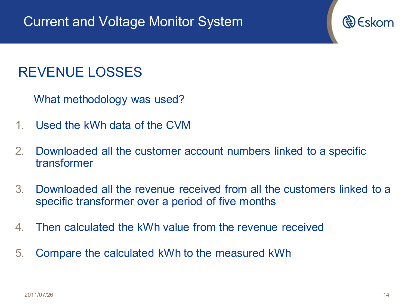#### REVENUE LOSSES

What methodology was used?

- 1. Used the kWh data of the CVM
- 2. Downloaded all the customer account numbers linked to a specific transformer
- 3. Downloaded all the revenue received from all the customers linked to a specific transformer over a period of five months
- 4. Then calculated the kWh value from the revenue received
- 5. Compare the calculated kWh to the measured kWh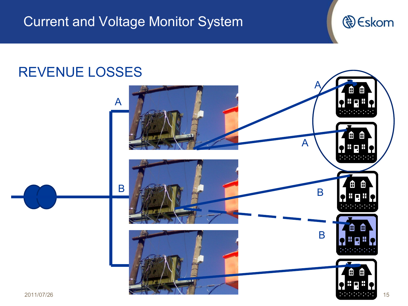

#### REVENUE LOSSES

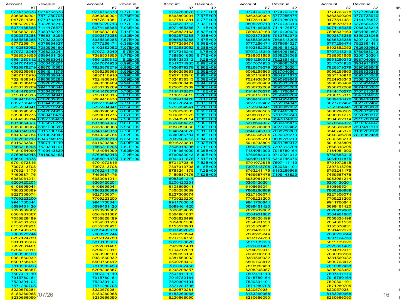| ccount<br>87                                   | Revenue               | Account<br>87                              | Revenue                  | Account                                    | Revenue      | Account<br>87            | Revenue                             | Account<br>87            | Revenue                                        | 46 |
|------------------------------------------------|-----------------------|--------------------------------------------|--------------------------|--------------------------------------------|--------------|--------------------------|-------------------------------------|--------------------------|------------------------------------------------|----|
| 9774763678                                     | 37                    | 9774763678 9.77E+09                        | 38                       | 87                                         | 42           |                          | 42<br>9774763678 9774763678         | 9774763678               | 32<br>5777256474                               |    |
| 8363800004 7571280705                          | 9774763678            | 8363800004 5.78E+09                        |                          | 9774763678<br>8363800004 7.57E+09          | $9.77E + 09$ |                          | 8363800004 5777256474               | 8363800004               | 9770733910                                     |    |
| 9477511381 9770733910                          |                       | 9477511381                                 | 7.57E+09                 | 9477511381 9.77E+09                        |              |                          | 9477511381 7571280705               |                          | 9477511381 7144476577                          |    |
| 9805229713 703258321                           |                       | 9805229713                                 | $9.77E + 09$             | 9805229713 7.03E+09                        |              |                          | 9805229713 9770733910               | 9805229713               | 6378664327                                     |    |
| 6074465385                                     | 7144476577            | 6074465385 7.03E+09                        |                          | 6074465385 7.14E+09                        |              |                          | 6074465385 7144476577               | 6074465385               | 7068223244                                     |    |
| 7606832163                                     | 7983782972            | 7606832163                                 | $7.14E + 09$             | 7606832163 5.82E+09                        |              |                          | 7606832163 5819139626               | 7606832163               | 6564961867                                     |    |
| 5092873288 7566318295                          |                       | 5092873288                                 | $5.82E + 09$             | 5092873288 7.98E+09                        |              |                          | 5092873288 7983782972               | 5092873288               | 8359238068                                     |    |
| 8985835288 7709223200                          |                       | 8985835288 7.57E+09                        |                          | 8985835288 7.57E+09                        |              |                          | 8985835288 7566318295               | 8985835288               | 8297124759                                     |    |
| 5777256474 6378664327                          |                       | 5777256474 6.38E+09                        |                          | 5777256474 6.98E+09                        |              |                          | 5777256474 6378664327               |                          | 5777256474 7922861481                          |    |
| 6102882052 7080996160                          |                       | 6102882052                                 | 7.07E+09                 | 6102882052 6.38E+09                        |              |                          | 6102882052 5699461420               | 6102882052               | 7626939662                                     |    |
| 5707213249 7068223244                          |                       | 5707213249                                 | $5.7E + 09$              | 5707213249                                 | $5.7E + 09$  |                          | 5707213249 6564961867               |                          | 5707213249 8769683043                          |    |
| 7388501655                                     | 5699461420            | 7388501655                                 | 8.77E+09                 | 7388501655 8.77E+09                        |              | 7388501655               | 8359238068                          | 7388501655               | 520042020                                      |    |
| 5951280312 8769683043                          |                       | 5951280312                                 | $5.2E + 09$              | 5951280312                                 | $5.2E + 09$  |                          | 5951280312 7922861481               |                          | 5951280312 698704056                           |    |
| 6547074935 5200420201                          |                       | 6547074935                                 | $6.99E + 09$             | 6547074935 6.99E+09                        |              |                          | 6547074935 8769683043               | 6547074935               | 6964911875                                     |    |
| 7926879279 6987040561                          |                       | 7926879279 6.96E+09                        |                          | 7926879279 6.96E+09                        |              |                          | 7926879279 5200420201               | 7926879279               | 5590959648                                     |    |
| 6096255663<br>5957110916 5590959648            | 6964911875            | 6096255663                                 | $5.59E + 09$             | 6096255663 5.59E+09<br>5957110916 8.99E+09 |              | 6096255663               | 6987040561                          | 6096255663<br>5957110916 | 8985835288                                     |    |
| 7524938343                                     | 8985835288            | 5957110916<br>7524938343                   | 8.99E+09<br>$5.09E + 09$ | 7524938343 5.09E+09                        |              | 7524938343               | 5957110916 6964911875<br>5590959648 | 7524938343               | 5092873288<br>7356420704                       |    |
| 5980308409 509287328                           |                       | 5980308409                                 | $9.94E + 09$             | 5980308409 9.94E+09                        |              |                          | 5980308409 8985835288               |                          | 5980308409 5755934941                          |    |
| 6256732269 9941760844                          |                       | 6256732269                                 | 7.36E+09                 | 6256732269 7.36E+09                        |              |                          | 6256732269 5092873288               | 6256732269               | 6074465385                                     |    |
| 7144476577                                     | 7356420704            | 7144476577                                 | $5.76E + 09$             | 7144476577 7.18E+09                        |              | 7144476577               | 9941760844                          | 7144476577               | 5707213249                                     |    |
| <mark>7136155015</mark> 5755934941             |                       | 7136155015                                 | $6.1E + 09$              | 7136155015 5.76E+09                        |              |                          | <mark>7136155015</mark> 7356420704  | 7136155015               | 6547074935                                     |    |
| 5889416476 6102882052                          |                       | 5889416476                                 | $6.07E + 09$             | 5889416476 6.1E+09                         |              |                          | 5889416476 7184954990               |                          | 5889416476 5889416476                          |    |
| 6027762462 607446538                           |                       | 6027762462                                 | $5.71E + 09$             | 6027762462 6.07E+09                        |              |                          | 6027762462 5755934941               | 6027762462               | 6027762462                                     |    |
| 5755934941 5707213249                          |                       | 5755934941 6.55E+09                        |                          | 5755934941 5.71E+09                        |              |                          | 5755934941 6102882052               |                          | 5755934941 7868286889                          |    |
| 5808296505 6547074935                          |                       | 5808296505                                 | $6.03E + 09$             | 5808296505 6.55E+09                        |              |                          | 5808296505 6074465385               | 5808296505               | 7926879279                                     |    |
| 5098091275 5889416476                          |                       | 5098091275                                 | 7.87E+09                 | 5098091275 5.89E+09                        |              |                          | 5098091275 5707213249               |                          | 5098091275 5951280312                          |    |
| 8504392014 6027762462                          |                       | 8504392014 7.93E+09                        |                          | 8504392014 6.03E+09                        |              |                          | 8504392014 6547074935               |                          | 8504392014 7915780164                          |    |
| 6378664327 7926879279                          |                       | 6378664327 9.81E+09                        |                          | 6378664327 7.39E+09<br>6958396068 7.93E+09 |              |                          | 6378664327 5889416476               |                          | 6378664327 9710924042                          |    |
| 6958396068                                     | 5951280312            | 6958396068                                 | $5.95E+09$               |                                            |              |                          | 6958396068 6027762462               |                          | 6958396068 7507411119                          |    |
| 6346745076 7915780164<br>6840366784 9710924042 |                       | 6346745076 8.76E+09<br>6840366784 7.92E+09 |                          | 6346745076 9.81E+09<br>6840366784 5.95E+09 |              | 6840366784               | 6346745076 7868286889<br>7926879279 |                          | 6346745076 8183269968<br>6840366784 7818982458 |    |
| 7032583213 6346745076                          |                       | 7032583213                                 | $6.35E + 09$             | 7032583213 6.84E+09                        |              |                          | <mark>7032583213</mark> 9805229713  | 7032583213               |                                                |    |
| 5916233894 7507411119                          |                       | 5916233894 8.99E+09                        |                          | 5916233894 7.92E+09                        |              |                          | 5916233894 5951280312               | 5916233894               |                                                |    |
|                                                | 7566318295 7520394101 | 7566318295 7.51E+09                        |                          | 7566318295 9.71E+09                        |              |                          | 7566318295 7397313708               | 7566318295               |                                                |    |
| 7184954990                                     | 7199443829            | 7184954990                                 | 7.52E+09                 | 7184954990 6.35E+09                        |              |                          | 7184954990 7915780164               | 7184954990               |                                                |    |
| 8769683043 7818982458                          |                       | 8769683043                                 | $7.2E + 09$              | 8769683043 8.99E+09                        |              |                          | 8769683043 9710924042               | 8769683043               |                                                |    |
| 6964911875                                     |                       | 6964911875 7.82E+09                        |                          | 6964911875 7.51E+09                        |              |                          | 6964911875 6346745076               | 6964911875               |                                                |    |
| 5701072815                                     |                       | 5701072815                                 |                          | 5701072815 7.52E+09                        |              |                          | 5701072815 7507411119               | 5701072815               |                                                |    |
| 7397313708                                     |                       | 7397313708                                 |                          | 7397313708 8.18E+09                        |              |                          | 7397313708 7520394101               | 7397313708               |                                                |    |
| 8763241175                                     |                       | 8763241175                                 |                          | 8763241175 7.2E+09                         |              |                          | 8763241175 8183269968               | 8763241175               |                                                |    |
| 7459587476                                     |                       | 7459587476                                 |                          | 7459587476 7.82E+09                        |              |                          | 7459587476 7199443829               | 7459587476               |                                                |    |
| 6983061214<br>5200420201                       |                       | 6983061214                                 |                          | 6983061214                                 |              | 6983061214               |                                     | 6983061214               |                                                |    |
| 6108695041                                     |                       | 5200420201<br>6108695041                   |                          | 5200420201<br>6108695041                   |              | 5200420201<br>6108695041 |                                     | 5200420201<br>6108695041 |                                                |    |
| 7868286889                                     |                       | 7868286889                                 |                          | 7868286889                                 |              | 7868286889               |                                     | 7868286889               |                                                |    |
| 9227306074                                     |                       | 9227306074                                 |                          | 9227306074                                 |              | 9227306074               |                                     | 9227306074               |                                                |    |
| 7709223200                                     |                       | 7709223200                                 |                          | 7709223200                                 |              | 7709223200               |                                     | 7709223200               |                                                |    |
| 9941760844                                     |                       | 9941760844                                 |                          | 9941760844                                 |              | 9941760844               |                                     | 9941760844               |                                                |    |
| 5699461420                                     |                       | 5699461420                                 |                          | 5699461420                                 |              | 5699461420               |                                     | 5699461420               |                                                |    |
| 7626939662                                     |                       | 7626939662                                 |                          | 7626939662                                 |              | 7626939662               |                                     | 7626939662               |                                                |    |
| 6564961867                                     |                       | 6564961867                                 |                          | 6564961867                                 |              | 6564961867               |                                     | 6564961867               |                                                |    |
| 7058828499                                     |                       | 7058828499                                 |                          | 7058828499                                 |              | 7058828499               |                                     | 7058828499               |                                                |    |
| 7054361536<br>6155576931                       |                       | 7054361536<br>6155576931                   |                          | 7054361536<br>6155576931                   |              | 7054361536               |                                     | 7054361536<br>6155576931 |                                                |    |
| 8991492679                                     |                       | 8991492679                                 |                          | 8991492679                                 |              | 6155576931<br>8991492679 |                                     | 8991492679               |                                                |    |
| 7068223244                                     |                       | 7068223244                                 |                          | 7068223244                                 |              | 7068223244               |                                     | 7068223244               |                                                |    |
| 8297124759                                     |                       | 8297124759                                 |                          | 8297124759                                 |              | 8297124759               |                                     | 8297124759               |                                                |    |
| 5819139626                                     |                       | 5819139626                                 |                          | 5819139626                                 |              | 5819139626               |                                     | 5819139626               |                                                |    |
| 7922861481                                     |                       | 7922861481                                 |                          | 7922861481                                 |              | 7922861481               |                                     | 7922861481               |                                                |    |
| 5794212011                                     |                       | 5794212011                                 |                          | 5794212011                                 |              | 5794212011               |                                     | 5794212011               |                                                |    |
| 7080996160                                     |                       | 7080996160                                 |                          | 7080996160                                 |              | 7080996160               |                                     | 7080996160               |                                                |    |
| 9381560932                                     |                       | 9381560932                                 |                          | 9381560932                                 |              | 9381560932               |                                     | 9381560932               |                                                |    |
| 6509768412                                     |                       | 6509768412                                 |                          | 6509768412                                 |              | 6509768412               |                                     | 6509768412               |                                                |    |
| 7818982458                                     |                       | 7818982458                                 |                          | 7818982458                                 |              | 7818982458               |                                     | 7818982458               |                                                |    |
| 6298208357                                     |                       | 6298208357<br>7507411119                   |                          | 6298208357                                 |              | 6298208357               |                                     | 6298208357               |                                                |    |
| 7507411119<br>7915780164                       |                       | 7915780164                                 |                          | 7507411119<br>7915780164                   |              | 7507411119<br>7915780164 |                                     | 7507411119<br>7915780164 |                                                |    |
| 7520394101                                     |                       | 7520394101                                 |                          | 7520394101                                 |              | 7520394101               |                                     | 7520394101               |                                                |    |
| 7571280705                                     |                       | 7571280705                                 |                          | 7571280705                                 |              | 7571280705               |                                     | 7571280705               |                                                |    |
| 8220579281                                     |                       | 8220579281                                 |                          | 8220579281                                 |              | 8220579281               |                                     | 8220579281               |                                                |    |
| 8183269968 / 07/26                             |                       | 8183269968                                 |                          | 8183269968                                 |              | 8183269968               |                                     | 8183269968               |                                                | 16 |
| 8230666090                                     |                       | 8230666090                                 |                          | 8230666090                                 |              | 8230666090               |                                     | 8230666090               |                                                |    |

| Account               | Revenue    | Account             | Revenue      | Account             | Revenue      | Account               | Revenue                            | Account |                    | Revenue |
|-----------------------|------------|---------------------|--------------|---------------------|--------------|-----------------------|------------------------------------|---------|--------------------|---------|
| 87                    | 37         | 87                  | 38           | 87                  | 42           | 87                    | 42                                 |         | 87                 |         |
| 9774763678            | 9774763678 | 9774763678          | $9.77E + 09$ | 9774763678          | $9.77E + 09$ |                       | 9774763678 9774763678              |         | 9774763678         | 5777256 |
| 8363800004            | 7571280705 | 8363800004 5.78E+09 |              | 8363800004          | 7.57E+09     |                       | 8363800004 5777256474              |         | 8363800004         | 9770733 |
| 9477511381            | 9770733910 | 9477511381 7.57E+09 |              | 9477511381          | $9.77E + 09$ | 9477511381            | 7571280705                         |         | 9477511381         | 7144476 |
| 9805229713 7032583213 |            | 9805229713 9.77E+09 |              | 9805229713 7.03E+09 |              |                       | 9805229713 9770733910              |         | 9805229713         | 6378664 |
| 6074465385            | 7144476577 | 6074465385 7.03E+09 |              | 6074465385 7.14E+09 |              | 6074465385 7144476577 |                                    |         | 6074465385         | 7068223 |
| 7606832163            | 7983782972 | 7606832163          | $7.14E + 09$ | 7606832163          | $5.82E + 09$ |                       | <mark>7606832163</mark> 5819139626 |         | 7606832163         | 6564961 |
| 5092873288            | 7566318295 | 5092873288 5.82E+09 |              | 5092873288 7.98E+09 |              |                       | 5092873288 7983782972              |         | 5092873288         | 8359238 |
| 8985835288            | 7709223200 | 8985835288 7.57E+09 |              | 8985835288          | $7.57E + 09$ | 8985835288 7566318295 |                                    |         | 8985835288         | 8297124 |
| 5777256474            | 6378664327 | 5777256474 6.38E+09 |              | 5777256474 6.98E+09 |              | 5777256474 637866432  |                                    |         | 5777256474         | 7922861 |
| 6102882052            | 7080996160 | 6102882052          | 7.07E+09     | 6102882052          | $6.38E + 09$ | 6102882052            | 5699461420                         |         | 6102882052         | 7626939 |
| 5707213249 7068223244 |            | 5707213249          | $5.7E + 09$  | 5707213249          | $5.7E + 09$  | 5707213249 6564961867 |                                    |         | 5707213249         | 8769683 |
| 7388501655            | 5699461420 | 7388501655          | $8.77E + 09$ | 7388501655 8.77E+09 |              | 7388501655            | 8359238068                         |         | 7388501655         | 5200420 |
| 5951280312            | 8769683043 | 5951280312          | $5.2E + 09$  | 5951280312          | $5.2E + 09$  |                       | 5951280312 7922861481              |         | 5951280312         | 6987040 |
| 6547074935            | 5200420201 | 6547074935 6.99E+09 |              | 6547074935 6.99E+09 |              |                       | 6547074935 8769683043              |         | 6547074935         | 6964911 |
| 7926879279            | 6987040561 | 7926879279 6.96E+09 |              | 7926879279 6.96E+09 |              |                       | 7926879279 5200420201              |         | 7926879279         | 5590959 |
| 6096255663            | 6964911875 | 6096255663          | $5.59E + 09$ | 6096255663          | $5.59E + 09$ | 6096255663            | 6987040561                         |         | 6096255663         | 8985835 |
| 5957110916            | 5590959648 | 5957110916 8.99E+09 |              | 5957110916 8.99E+09 |              | 5957110916 6964911875 |                                    |         | 5957110916         | 5092873 |
| 7524938343            | 8985835288 | 7524938343 5.09E+09 |              | 7524938343 5.09E+09 |              | 7524938343            | 5590959648                         |         | 7524938343         | 7356420 |
| 5980308409            | 5092873288 | 5980308409 9.94E+09 |              | 5980308409 9.94E+09 |              | 5980308409 8985835288 |                                    |         | 5980308409 5755934 |         |
| 6256732269            | 9941760844 | 6256732269          | 7.36E+09     | 6256732269          | 7.36E+09     | 6256732269 5092873288 |                                    |         | 6256732269         | 6074465 |
| 7144476577            | 7356420704 | 7144476577 5.76E+09 |              | 7144476577          | 7.18E+09     | 7144476577            | 9941760844                         |         | 7144476577         | 5707213 |
| 7136155015            | 5755934941 | 7136155015          | $6.1E + 09$  | 7136155015 5.76E+09 |              | 7136155015            | 7356420704                         |         | 7136155015         | 6547074 |
| 5889416476            | 6102882052 | 5889416476 6.07E+09 |              | 5889416476          | $6.1E + 09$  |                       | 5889416476 7184954990              |         | 5889416476         | 5889416 |
| 6027762462            | 6074465385 | 6027762462          | $5.71E + 09$ | 6027762462          | $6.07E + 09$ | 6027762462            | 5755934941                         |         | 6027762462         | 6027762 |
| 5755934941            | 5707213249 | 5755934941 6.55E+09 |              | 5755934941          | $5.71E + 09$ | 5755934941 6102882052 |                                    |         | 5755934941         | 7868286 |
| 5808296505            | 6547074935 | 5808296505          | $6.03E + 09$ | 5808296505          | $6.55E + 09$ | 5808296505            | 607446538                          |         | 5808296505         | 7926879 |
| 5098091275            | 5889416476 | 5098091275 7.87E+09 |              | 5098091275          | $5.89E + 09$ | 5098091275            | 5707213249                         |         | 5098091275         | 5951280 |
| 8504392014            | 6027762462 | 8504392014 7.93E+09 |              | 8504392014 6.03E+09 |              | 8504392014            | 6547074935                         |         | 8504392014         | 7915780 |
| 6378664327            | 7926879279 | 6378664327 9.81E+09 |              | 6378664327          | 7.39E+09     | 6378664327            | 5889416476                         |         | 6378664327         | 9710924 |
| 6958396068            | 5951280312 | 6958396068          | $5.95E + 09$ | 6958396068          | 7.93E+09     | 6958396068            | 6027762462                         |         | 6958396068         | 7507411 |
| 6346745076            | 7915780164 | 6346745076 8.76E+09 |              | 6346745076 9.81E+09 |              | 6346745076            | 7868286889                         |         | 6346745076 8183269 |         |
| 6840366784            | 9710924042 | 6840366784          | 7.92E+09     | 6840366784 5.95E+09 |              | 6840366784            | 7926879279                         |         | 6840366784 7818982 |         |
| 7032583213 6346745076 |            | 7032583213 6.35E+09 |              | 7032583213 6.84E+09 |              | 7032583213            | 9805229713                         |         | 7032583213         |         |
| 5916233894            | 7507411119 | 5916233894 8.99E+09 |              | 5916233894          | 7.92E+09     | 5916233894            | 5951280312                         |         | 5916233894         |         |
| 7566318295            | 7520394101 | 7566318295 7.51E+09 |              | 7566318295 9.71E+09 |              | 7566318295            | 7397313708                         |         | 7566318295         |         |
| 7184954990            | 7199443829 | 7184954990          | $7.52E + 09$ | 7184954990 6.35E+09 |              |                       | 7184954990 7915780164              |         | 7184954990         |         |
| 8769683043 7818982458 |            | 8769683043          | $7.2E + 09$  | 8769683043 8.99E+09 |              | 8769683043 9710924042 |                                    |         | 8769683043         |         |
| 6964911875            |            | 6964911875 7.82E+09 |              | 6964911875          | $7.51E + 09$ | 6964911875            | 6346745076                         |         | 6964911875         |         |
| 5701072815            |            | 5701072815          |              | 5701072815          | $7.52E + 09$ | 5701072815            | 7507411119                         |         | 5701072815         |         |
| 7397313708            |            | 7397313708          |              | 7397313708 8.18E+09 |              |                       | 7397313708 7520394101              |         | 7397313708         |         |
| 8763241175            |            | 8763241175          |              | 8763241175          | $7.2E + 09$  | 8763241175            | 8183269968                         |         | 8763241175         |         |
| 7459587476            |            | 7459587476          |              | 7459587476 7.82E+09 |              | 7459587476 7199443829 |                                    |         | 7459587476         |         |
| 6983061214            |            | 6983061214          |              | 6983061214          |              | 6983061214            |                                    |         | 6983061214         |         |
| 5200420201            |            | 5200420201          |              | 5200420201          |              | 5200420201            |                                    |         | 5200420201         |         |
| 6108695041            |            | 6108695041          |              | 6108695041          |              | 6108695041            |                                    |         | 6108695041         |         |
| 7868286889            |            | 7868286889          |              | 7868286889          |              | 7868286889            |                                    |         | 7868286889         |         |
| 9227306074            |            | 9227306074          |              | 9227306074          |              | 9227306074            |                                    |         | 9227306074         |         |
| 7709223200            |            | 7709223200          |              | 7709223200          |              | 7709223200            |                                    |         | 7709223200         |         |
| 9941760844            |            | 9941760844          |              | 9941760844          |              | 9941760844            |                                    |         | 9941760844         |         |
| 5699461420            |            | 5699461420          |              | 5699461420          |              | 5699461420            |                                    |         | 5699461420         |         |
| 7626939662            |            | 7626939662          |              | 7626939662          |              | 7626939662            |                                    |         | 7626939662         |         |
| 6564961867            |            | 6564961867          |              | 6564961867          |              | 6564961867            |                                    |         | 6564961867         |         |
| 7058828499            |            | 7058828499          |              | 7058828499          |              | 7058828499            |                                    |         | 7058828499         |         |
| 7054361536            |            | 7054361536          |              | 7054361536          |              | 7054361536            |                                    |         | 7054361536         |         |
| 6155576931            |            | 6155576931          |              | 6155576931          |              | 6155576931            |                                    |         | 6155576931         |         |
| 8991492679            |            | 8991492679          |              | 8991492679          |              | 8991492679            |                                    |         | 8991492679         |         |
| 7068223244            |            | 7068223244          |              | 7068223244          |              | 7068223244            |                                    |         | 7068223244         |         |
| 8297124759            |            | 8297124759          |              | 8297124759          |              | 8297124759            |                                    |         | 8297124759         |         |
| 5819139626            |            | 5819139626          |              | 5819139626          |              | 5819139626            |                                    |         | 5819139626         |         |
| 7922861481            |            | 7922861481          |              | 7922861481          |              | 7922861481            |                                    |         | 7922861481         |         |
| 5794212011            |            | 5794212011          |              | 5794212011          |              | 5794212011            |                                    |         | 5794212011         |         |
| 7080996160            |            | 7080996160          |              | 7080996160          |              | 7080996160            |                                    |         | 7080996160         |         |
| 9381560932            |            | 9381560932          |              | 9381560932          |              | 9381560932            |                                    |         | 9381560932         |         |
| 6509768412            |            | 6509768412          |              | 6509768412          |              | 6509768412            |                                    |         | 6509768412         |         |
| 7818982458            |            | 7818982458          |              | 7818982458          |              | 7818982458            |                                    |         | 7818982458         |         |
| 6298208357            |            | 6298208357          |              | 6298208357          |              | 6298208357            |                                    |         | 6298208357         |         |
| 7507411119            |            | 7507411119          |              | 7507411119          |              | 7507411119            |                                    |         | 7507411119         |         |
| 7915780164            |            | 7915780164          |              | 7915780164          |              | 7915780164            |                                    |         | 7915780164         |         |
| 7520394101            |            | 7520394101          |              | 7520394101          |              | 7520394101            |                                    |         | 7520394101         |         |
| 7571280705            |            | 7571280705          |              | 7571280705          |              | 7571280705            |                                    |         | 7571280705         |         |
| 8220579281            |            | 8220579281          |              | 8220579281          |              | 8220579281            |                                    |         | 8220579281         |         |
| 8183269968 / 07/26    |            | 8183269968          |              | 8183269968          |              | 8183269968            |                                    |         | 8183269968         |         |
|                       |            |                     |              |                     |              |                       |                                    |         |                    |         |

| count                                                                                              | Revenue                                  |
|----------------------------------------------------------------------------------------------------|------------------------------------------|
| 87                                                                                                 |                                          |
| 9774763678<br>3363800004                                                                           |                                          |
| $\overline{511}$<br>۶<br>1                                                                         | ¢<br>ī<br>1<br>Y                         |
| 9477<br>9805<br>š                                                                                  | ī                                        |
| 1<br>4465<br>607<br>85                                                                             | J<br>ï<br>κ<br>ŧ                         |
| ť<br>ŧ<br>í<br>١٤<br>í                                                                             | I<br>X<br>1                              |
| 50<br>Х<br>28<br>ξ                                                                                 | я<br>÷.<br>ÿ                             |
| 3985<br>35:<br>۶<br>š.<br>₹                                                                        | - (<br>)9                                |
| f<br>7                                                                                             | ٤F<br>÷(<br>ÿ                            |
|                                                                                                    | 3I<br>÷(                                 |
| 610288205 <mark>2</mark><br>5707213249<br>Ę                                                        |                                          |
| 7388501655                                                                                         | $^{+}$<br>F<br>X                         |
| 5951280312                                                                                         | ۴Ć<br>X                                  |
| 5547074935                                                                                         | 99 I<br>٠Ć<br>X<br>ł<br>€                |
| 79.<br>.687<br>92<br>Ï                                                                             | <b>16</b><br>¢<br>œ<br>6                 |
| 309625566:                                                                                         | ś<br>эI<br>Ò<br>X<br>f                   |
| <u>5957110916</u>                                                                                  | $\frac{1}{2}$<br>X<br>) I<br>ł           |
| 7524938343                                                                                         | $\overline{\mathbf{0}}$<br>Ó<br>)9I<br>f |
|                                                                                                    | $\overline{4}$<br>X<br>-0<br>ł           |
|                                                                                                    | lбI<br>X<br>¢<br>X<br>ŧ                  |
|                                                                                                    | 81<br>٠C<br>$\overline{9}$<br>۰<br>ŧ     |
| 5889416<br>476                                                                                     | <u>61</u><br>+09<br>Ç<br>11              |
| 3027762462                                                                                         | Ī<br>Ŧ.<br>οğ<br>٢<br>í                  |
| 575593494<br>1                                                                                     | 11<br>+09<br>ŧ                           |
| 5808296505                                                                                         | ť<br>ļ<br>5.<br>5 E<br>+09<br>э          |
|                                                                                                    | +09<br>ļ<br>٤<br>39F                     |
|                                                                                                    | €<br>Ó<br>X<br>31<br>+09                 |
|                                                                                                    | 9I<br>+о<br>J                            |
| 3                                                                                                  | Ś<br>31<br>+09                           |
| 3346745076                                                                                         | ¢<br>81E<br>+09                          |
| 384036678                                                                                          | $\overline{351}$<br>5<br>+09             |
| 7032583<br>32<br><u>-------</u><br>59162338                                                        | $+0s$<br>84 <sub>I</sub><br>6<br>€       |
|                                                                                                    | $+09$<br>92I<br>$\overline{71}$<br>$+09$ |
| 756631829<br>5<br>7184954990                                                                       | g<br>$\overline{+09}$<br>35F<br>F        |
| 3769683043                                                                                         | $+09$<br>99F                             |
|                                                                                                    | $+09$<br>ŝ<br>ì                          |
|                                                                                                    | $\overline{+09}$                         |
|                                                                                                    | ۴O<br>۹F<br>Э                            |
| <mark>3763241175</mark>                                                                            | ō                                        |
| 7459587476<br>3983061214                                                                           | ì<br>)9<br>T                             |
|                                                                                                    |                                          |
| 5200420201                                                                                         |                                          |
| 5041<br>3108695                                                                                    |                                          |
| 7868286889                                                                                         |                                          |
| , 20020009<br>0227306074<br>7709223200<br>0941760844                                               |                                          |
|                                                                                                    |                                          |
|                                                                                                    |                                          |
| 5699461420<br>7626939662<br>$\frac{20}{2}$                                                         |                                          |
| <mark>5564961867</mark>                                                                            |                                          |
| 7058828499                                                                                         |                                          |
| <del>000628499</del><br>  054361536<br>  3155576931<br>  309122759<br>  3297124759<br>  3297861484 |                                          |
|                                                                                                    |                                          |
|                                                                                                    |                                          |
|                                                                                                    |                                          |
|                                                                                                    |                                          |
|                                                                                                    |                                          |
| 5819139626<br>7922861481<br>5794212011<br>7080996160                                               |                                          |
|                                                                                                    |                                          |
|                                                                                                    |                                          |
| <mark>93815609:</mark>                                                                             |                                          |
|                                                                                                    |                                          |
| ŝ.                                                                                                 |                                          |
| <mark>62982083</mark><br>75074111<br>1                                                             |                                          |
| 791578016                                                                                          |                                          |
| 7520394101                                                                                         |                                          |
| 7571<br>280705                                                                                     |                                          |
| 8112881<br>32205792<br>31832699<br>$\frac{281}{281}$                                               |                                          |
| <b>GOGS</b>                                                                                        |                                          |

| :count                                                                                                                                                    |                          | F<br>≷evenue                                                                                               |
|-----------------------------------------------------------------------------------------------------------------------------------------------------------|--------------------------|------------------------------------------------------------------------------------------------------------|
| 87<br><mark>74763678</mark><br>863800004                                                                                                                  |                          |                                                                                                            |
| ł                                                                                                                                                         |                          |                                                                                                            |
| Ś                                                                                                                                                         |                          |                                                                                                            |
|                                                                                                                                                           |                          |                                                                                                            |
| 000000<br>07446<br>00083<br>55385<br>€                                                                                                                    |                          |                                                                                                            |
|                                                                                                                                                           |                          | 1                                                                                                          |
| 092873288<br>50                                                                                                                                           |                          |                                                                                                            |
|                                                                                                                                                           |                          | 1<br>$\frac{1}{2}$                                                                                         |
|                                                                                                                                                           |                          |                                                                                                            |
|                                                                                                                                                           |                          | 1<br>€                                                                                                     |
| 0005835288<br>8985835288<br>5777256474<br>6102882052<br>5707213249<br>7388501655                                                                          |                          | 318<br>380<br>314                                                                                          |
| 738830103<br>595128031<br>654707493<br>792687927                                                                                                          |                          | 36                                                                                                         |
|                                                                                                                                                           |                          | $rac{92}{6}$<br>96                                                                                         |
|                                                                                                                                                           |                          | $\frac{376}{20}$<br>X                                                                                      |
| 6096255663<br>6                                                                                                                                           | 3                        | 8830<br>1202<br>0405<br>0118<br>0596<br>69<br>)!<br>$\overline{\phantom{a}}$                               |
| ----------------<br>5957110916<br>7524938343                                                                                                              |                          | 6<br>ЭG                                                                                                    |
|                                                                                                                                                           |                          | 9C                                                                                                         |
| 5980308409<br>6256732269<br>7144476577                                                                                                                    |                          | Ŝ<br>398                                                                                                   |
|                                                                                                                                                           |                          | $\mathbf$<br>7608<br>Š<br>1                                                                                |
| <u>, 1353.83</u><br><mark>71361550</mark>                                                                                                                 | 15<br>ŗ                  | 207                                                                                                        |
|                                                                                                                                                           |                          | $\frac{1}{2}$<br>ä.<br>49<br>1                                                                             |
| 5889416476<br>6027762462<br>5755934941                                                                                                                    |                          | $\frac{107}{245}$<br>ł<br>ł<br>i9:                                                                         |
|                                                                                                                                                           |                          | ic<br>S<br>$\overline{10}$<br>$\overline{\mathbf{z}}$<br>$\epsilon$<br><u>)</u><br>$\overline{\mathbf{3}}$ |
| 575555454<br>580829650<br>509809127<br>850439201<br>637866432<br>695839606                                                                                |                          | $\overline{\textbf{0}}$<br>€<br>46                                                                         |
|                                                                                                                                                           |                          | $\frac{0.72132}{0.072132}$<br>ŧ<br>707                                                                     |
|                                                                                                                                                           |                          | $\epsilon$                                                                                                 |
|                                                                                                                                                           |                          | $\frac{1}{2416}$<br>ŝ                                                                                      |
|                                                                                                                                                           | $\overline{\mathbf{58}}$ | 277624<br>$\overline{\mathbf{50}}$<br>$\epsilon$                                                           |
| $\overline{\epsilon}$<br>33467<br>68403                                                                                                                   |                          | 7868<br>2868<br>3792                                                                                       |
| 36<br>šξ                                                                                                                                                  | 4                        | 97                                                                                                         |
|                                                                                                                                                           | $\overline{1}$           | $\overline{\mathbf{30}}$<br>ī                                                                              |
| 004030070-<br>703258321:<br>591623389-<br>756631829:<br>718495499:                                                                                        |                          | $\frac{137}{801}$<br>7                                                                                     |
|                                                                                                                                                           | J                        | $\frac{7}{15}$                                                                                             |
| $\overline{\text{30}}$                                                                                                                                    |                          | $rac{1}{2}$<br>$\overline{\mathbf{o}}$                                                                     |
| 876968<br>696491<br>9118                                                                                                                                  |                          | ł<br>É                                                                                                     |
| ī<br><mark>570107</mark><br>739731                                                                                                                        |                          | í<br>$\frac{1}{\sigma}$                                                                                    |
|                                                                                                                                                           | $\overline{18}$          | 3                                                                                                          |
| $\begin{array}{r} 2753241175 \\ 7459587476 \\ 6983061214 \\ 5200420201 \\ 6108695041 \end{array}$                                                         |                          |                                                                                                            |
|                                                                                                                                                           |                          |                                                                                                            |
| 83061<br>00420<br>08695                                                                                                                                   |                          |                                                                                                            |
|                                                                                                                                                           |                          |                                                                                                            |
| $\frac{6}{7}$<br>368                                                                                                                                      |                          |                                                                                                            |
| $\frac{185}{9227306}$<br>$\frac{1}{2}$                                                                                                                    |                          |                                                                                                            |
|                                                                                                                                                           | Ï                        |                                                                                                            |
|                                                                                                                                                           |                          |                                                                                                            |
| 99417608<br>56994614<br>76269396                                                                                                                          | ١                        |                                                                                                            |
|                                                                                                                                                           |                          |                                                                                                            |
| $\overline{\bf{56}}$<br>4S<br>9C<br>518                                                                                                                   |                          |                                                                                                            |
| 7058828499                                                                                                                                                |                          |                                                                                                            |
| 7054361536<br>7054361536<br>6155576931<br>8991492679<br>7068223244<br>8297124759<br>5819139628<br>794212011<br>7780942180                                 |                          |                                                                                                            |
|                                                                                                                                                           |                          |                                                                                                            |
|                                                                                                                                                           |                          |                                                                                                            |
|                                                                                                                                                           |                          |                                                                                                            |
|                                                                                                                                                           |                          |                                                                                                            |
|                                                                                                                                                           |                          |                                                                                                            |
|                                                                                                                                                           |                          |                                                                                                            |
|                                                                                                                                                           |                          |                                                                                                            |
|                                                                                                                                                           |                          |                                                                                                            |
|                                                                                                                                                           |                          |                                                                                                            |
|                                                                                                                                                           |                          |                                                                                                            |
|                                                                                                                                                           |                          |                                                                                                            |
|                                                                                                                                                           |                          |                                                                                                            |
| 5794212011<br>938156096160<br>9381560932<br>6509768412<br>78189820835<br>7507411119<br>7915780164<br>75203941015<br>8220579281<br>8220579281<br>832699989 |                          |                                                                                                            |
|                                                                                                                                                           |                          |                                                                                                            |
|                                                                                                                                                           |                          |                                                                                                            |
|                                                                                                                                                           |                          |                                                                                                            |
|                                                                                                                                                           |                          |                                                                                                            |

| count<br>Revenue                                               | Account<br>Revenue                                | Account<br>Revenue                                | Account<br>Revenue                                | Account<br>Revenue                                   |              |
|----------------------------------------------------------------|---------------------------------------------------|---------------------------------------------------|---------------------------------------------------|------------------------------------------------------|--------------|
| 37<br>87                                                       | 87<br>38                                          | 87<br>42                                          | 87<br>42                                          | 87<br>32                                             | 46           |
| 9774763678  9774763678                                         | 9774763678<br>$9.77E + 09$                        | 9774763678 9.77E+09                               | 9774763678 9774763678                             | 9774763678 5777256474                                |              |
|                                                                | 8363800004 5.78E+09                               | 8363800004 7.57E+09                               | 8363800004 5777256474                             | 8363800004 9770733910                                |              |
|                                                                | 9477511381 7.57E+09<br>9805229713 9.77E+09        | 9477511381 9.77E+09<br>9805229713 7.03E+09        | 9477511381 7571280705<br>9805229713 9770733910    | 9477511381 7144476577<br>9805229713 6378664327       |              |
| 6074465385 7144476577                                          | 6074465385 7.03E+09                               | 6074465385 7.14E+09                               | 6074465385 7144476577                             | 6074465385 7068223244                                |              |
|                                                                | 7606832163 7.14E+09                               | 7606832163 5.82E+09                               | 7606832163 5819139626                             | 7606832163<br>6564961867                             |              |
|                                                                | 5092873288 5.82E+09                               | 5092873288 7.98E+09                               | 5092873288 798378297                              | 5092873288<br>8359238068                             |              |
| 8985835288 7709223200                                          | 8985835288 7.57E+09                               | 8985835288 7.57E+09                               | 8985835288 7566318295                             | 8985835288<br>8297124759                             |              |
| <mark>5777256474</mark> 6378664327                             | 5777256474 6.38E+09<br>6102882052<br>7.07E+09     | 5777256474 6.98E+09                               | 5777256474 6378664327<br>6102882052 5699461420    | 5777256474<br>7922861481<br>6102882052<br>7626939662 |              |
| 6102882052 7080996160<br>5707213249 7068223244                 | 5707213249<br>$5.7E + 09$                         | 6102882052 6.38E+09<br>5707213249<br>$5.7E + 09$  | 5707213249 6564961867                             | 5707213249 8769683043                                |              |
| 7388501655<br>5699461420                                       | 7388501655 8.77E+09                               | 7388501655 8.77E+09                               | 7388501655 8359238068                             | 7388501655<br>5200420201                             |              |
| <mark>5951280312 8769683043</mark>                             | 5951280312<br>$5.2E + 09$                         | 5951280312<br>$5.2E + 09$                         | 5951280312 792286148                              | 5951280312<br>6987040561                             |              |
| 6547074935  520042020 <sup>.</sup>                             | 6547074935 6.99E+09                               | 6547074935 6.99E+09                               | 6547074935 8769683043                             | 6547074935 6964911875                                |              |
| 7926879279<br>  698704056 <i>*</i>                             | 7926879279 6.96E+09                               | 7926879279 6.96E+09                               | 7926879279 5200420201                             | 7926879279<br>5590959648                             |              |
| 609625566:<br>6964911875                                       | 6096255663<br>$5.59E + 09$<br>5957110916 8.99E+09 | 6096255663<br>$5.59E + 09$<br>5957110916 8.99E+09 | 6096255663<br>6987040561<br>5957110916 6964911875 | 6096255663<br>8985835288<br>5957110916 5092873288    |              |
| <mark>7524938343</mark><br>8985835288                          | 7524938343 5.09E+09                               | 7524938343 5.09E+09                               | 7524938343 5590959648                             | 7524938343 7356420704                                |              |
|                                                                | 5980308409 9.94E+09                               | 5980308409 9.94E+09                               | 5980308409 8985835288                             | 5980308409 5755934941                                |              |
| <mark>6256732269</mark><br>9941760844                          | 6256732269 7.36E+09                               | 6256732269 7.36E+09                               | 6256732269 5092873288                             | 6256732269 6074465385                                |              |
| 7144476577<br>7356420704                                       | 7144476577 5.76E+09                               | 7144476577 7.18E+09                               | 7144476577 9941760844                             | 7144476577<br>5707213249                             |              |
| <mark>7136155015</mark><br>5755934941<br>5889416476 610288205  | 7136155015<br>$6.1E + 09$<br>5889416476 6.07E+09  | 7136155015 5.76E+09<br>5889416476<br>$6.1E + 09$  | 7136155015 7356420704<br>5889416476 7184954990    | 7136155015 6547074935<br>5889416476 5889416476       |              |
| 6027762462  607446538¦                                         | 6027762462<br>$5.71E + 09$                        | 6027762462 6.07E+09                               | 6027762462 5755934941                             | 6027762462<br>6027762462                             |              |
| 5755934941  5707213249                                         | 5755934941 6.55E+09                               | 5755934941 5.71E+09                               | 5755934941 6102882052                             | 5755934941<br>7868286889                             |              |
| 654707493<br><mark>580829650!</mark>                           | 5808296505 6.03E+09                               | 5808296505 6.55E+09                               | 5808296505 6074465385                             | 5808296505 7926879279                                |              |
| <mark>5098091275</mark><br>5889416476                          | 5098091275 7.87E+09                               | 5098091275 5.89E+09                               | 5098091275 5707213249                             | 5098091275<br>5951280312                             |              |
| <mark>8504392014</mark> 6027762462                             | 8504392014 7.93E+09                               | 8504392014 6.03E+09                               | 8504392014 6547074935                             | 8504392014 7915780164                                |              |
| 6378664327 7926879279<br><mark>6958396068</mark><br>5951280312 | 6378664327 9.81E+09<br>6958396068 5.95E+09        | 6378664327 7.39E+09<br>6958396068 7.93E+09        | 6378664327 5889416476<br>6958396068 602776246     | 6378664327 9710924042<br>6958396068 7507411119       |              |
| 6346745076  7915780164                                         | 6346745076 8.76E+09                               | 6346745076 9.81E+09                               | 6346745076 7868286889                             | 6346745076 8183269968                                |              |
|                                                                | 6840366784 7.92E+09                               | 6840366784 5.95E+09                               | 6840366784 7926879279                             | 6840366784 7818982458                                |              |
| 7032583213  6346745076                                         | 7032583213 6.35E+09                               | 7032583213 6.84E+09                               | 7032583213<br>9805229713                          | 7032583213                                           |              |
|                                                                | 5916233894 8.99E+09                               | 5916233894 7.92E+09                               | 5916233894 5951280312                             | 5916233894                                           |              |
| <mark>7184954990</mark> 7199443829                             | 7566318295 7.51E+09<br>7184954990 7.52E+09        | 7566318295 9.71E+09<br>7184954990 6.35E+09        | 7566318295 7397313708<br>7184954990 7915780164    | 7566318295<br>7184954990                             |              |
| 8769683043  7818982458                                         | 8769683043<br>7.2E+09                             | 8769683043 8.99E+09                               | 8769683043 9710924042                             | 8769683043                                           |              |
| 6964911875                                                     | 6964911875 7.82E+09                               | 6964911875 7.51E+09                               | 6964911875 6346745076                             | 6964911875                                           |              |
| 5701072815                                                     | 5701072815                                        | 5701072815 7.52E+09                               | 5701072815 7507411119                             | 5701072815                                           |              |
| 7397313708                                                     | 7397313708                                        | 7397313708 8.18E+09                               | 7397313708 7520394101                             | 7397313708                                           |              |
| 8763241175<br>7459587476                                       | 8763241175<br>7459587476                          | 8763241175<br>$7.2E + 09$<br>7459587476 7.82E+09  | 8763241175 8183269968<br>7459587476 7199443829    | 8763241175<br>7459587476                             |              |
| 6983061214                                                     | 6983061214                                        | 6983061214                                        | 6983061214                                        | 6983061214                                           |              |
| 5200420201                                                     | 5200420201                                        | 5200420201                                        | 5200420201                                        | 5200420201                                           |              |
| 6108695041                                                     | 6108695041                                        | 6108695041                                        | 6108695041                                        | 6108695041                                           |              |
| 7868286889                                                     | 7868286889                                        | 7868286889                                        | 7868286889                                        | 7868286889                                           |              |
| 9227306074<br>7709223200                                       | 9227306074<br>7709223200                          | 9227306074<br>7709223200                          | 9227306074<br>7709223200                          | 9227306074<br>7709223200                             |              |
| 9941760844                                                     | 9941760844                                        | 9941760844                                        | 9941760844                                        | 9941760844                                           |              |
| 5699461420                                                     | 5699461420                                        | 5699461420                                        | 5699461420                                        | 5699461420                                           |              |
| <mark>7626939662</mark>                                        | 7626939662                                        | 7626939662                                        | 7626939662                                        | 7626939662                                           |              |
| <mark>6564961867</mark>                                        | 6564961867                                        | 6564961867                                        | 6564961867                                        | 6564961867                                           |              |
| 7058828499<br>7054361536                                       | 7058828499<br>7054361536                          | 7058828499<br>7054361536                          | 7058828499<br>7054361536                          | 7058828499<br>7054361536                             |              |
| <mark>6155576931</mark>                                        | 6155576931                                        | 6155576931                                        | 6155576931                                        | 6155576931                                           |              |
| 8991492679                                                     | 8991492679                                        | 8991492679                                        | 8991492679                                        | 8991492679                                           |              |
| 7068223244                                                     | 7068223244                                        | 7068223244                                        | 7068223244                                        | 7068223244                                           |              |
| <mark>8297124759</mark>                                        | 8297124759                                        | 8297124759                                        | 8297124759                                        | 8297124759                                           |              |
| <mark>5819139626</mark><br><mark>7922861481</mark>             | 5819139626<br>7922861481                          | 5819139626<br>7922861481                          | 5819139626<br>7922861481                          | 5819139626<br>7922861481                             |              |
| <mark>5794212011</mark>                                        | 5794212011                                        | 5794212011                                        | 5794212011                                        | 5794212011                                           |              |
| 7080996160                                                     | 7080996160                                        | 7080996160                                        | 7080996160                                        | 7080996160                                           |              |
| 9381560932                                                     | 9381560932                                        | 9381560932                                        | 9381560932                                        | 9381560932                                           |              |
| 6509768412                                                     | 6509768412                                        | 6509768412                                        | 6509768412                                        | 6509768412                                           |              |
| 7818982458                                                     | 7818982458                                        | 7818982458                                        | 7818982458                                        | 7818982458                                           |              |
| 6298208357<br>7507411119                                       | 6298208357<br>7507411119                          | 6298208357<br>7507411119                          | 6298208357<br>7507411119                          | 6298208357<br>7507411119                             |              |
| 7915780164                                                     | 7915780164                                        | 7915780164                                        | 7915780164                                        | 7915780164                                           |              |
| 7520394101                                                     | 7520394101                                        | 7520394101                                        | 7520394101                                        | 7520394101                                           |              |
| 7571280705                                                     | 7571280705                                        | 7571280705                                        | 7571280705                                        | 7571280705                                           |              |
| <mark>8220579281</mark>                                        | 8220579281                                        | 8220579281                                        | 8220579281                                        | 8220579281                                           | $\mathbf{1}$ |
| 8183269968 /07/26<br>022000000                                 | 8183269968<br>0000000000                          | 8183269968<br>8330666000                          | 8183269968<br>8330666000                          | 8183269968<br>16<br>0220000000                       |              |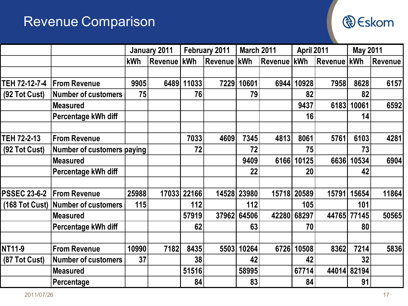### Revenue Comparison



|                     |                                    | January 2011 |                | February 2011 |                      | <b>March 2011</b> |               | April 2011 |                | <b>May 2011</b> |                |
|---------------------|------------------------------------|--------------|----------------|---------------|----------------------|-------------------|---------------|------------|----------------|-----------------|----------------|
|                     |                                    | kWh          | <b>Revenue</b> | <b>kWh</b>    | <b>Revenue   kWh</b> |                   | Revenue   kWh |            | <b>Revenue</b> | <b>kWh</b>      | <b>Revenue</b> |
|                     |                                    |              |                |               |                      |                   |               |            |                |                 |                |
| TEH 72-12-7-4       | <b>From Revenue</b>                | 9905         |                | 6489 11033    | 7229                 | 10601             | 6944          | 10928      | 7958           | 8628            | 6157           |
| (92 Tot Cust)       | <b>Number of customers</b>         | 75           |                | 76            |                      | 79                |               | 82         |                | 82              |                |
|                     | <b>Measured</b>                    |              |                |               |                      |                   |               | 9437       | 6183           | 10061           | 6592           |
|                     | Percentage kWh diff                |              |                |               |                      |                   |               | 16         |                | 14              |                |
|                     |                                    |              |                |               |                      |                   |               |            |                |                 |                |
| TEH 72-2-13         | <b>From Revenue</b>                |              |                | 7033          | 4609                 | 7345              | 4813          | 8061       | 5761           | 6103            | 4281           |
| (92 Tot Cust)       | Number of customers paying         |              |                | 72            |                      | 72                |               | 75         |                | 73              |                |
|                     | <b>Measured</b>                    |              |                |               |                      | 9409              | 6166          | 10125      | 6636           | 10534           | 6904           |
|                     | Percentage kWh diff                |              |                |               |                      | 22                |               | 20         |                | 42              |                |
|                     |                                    |              |                |               |                      |                   |               |            |                |                 |                |
| <b>PSSEC 23-6-2</b> | <b>From Revenue</b>                | 25988        |                | 17033 22166   |                      | 14528 23980       | 15718         | 20589      | 15791          | 15654           | 11864          |
|                     | (168 Tot Cust) Number of customers | 115          |                | 112           |                      | 112               |               | 105        |                | 101             |                |
|                     | <b>Measured</b>                    |              |                | 57919         |                      | 37962 64506       | 42280         | 68297      | 44765          | 77145           | 50565          |
|                     | Percentage kWh diff                |              |                | 62            |                      | 63                |               | 70         |                | 80              |                |
|                     |                                    |              |                |               |                      |                   |               |            |                |                 |                |
| NT11-9              | <b>From Revenue</b>                | 10990        | 7182           | 8435          | 5503                 | 10264             | 6726          | 10508      | 8362           | 7214            | 5836           |
| (87 Tot Cust)       | <b>Number of customers</b>         | 37           |                | 38            |                      | 42                |               | 42         |                | 32              |                |
|                     | <b>Measured</b>                    |              |                | 51516         |                      | 58995             |               | 67714      |                | 44014 82194     |                |
|                     | Percentage                         |              |                | 84            |                      | 83                |               | 84         |                | 91              |                |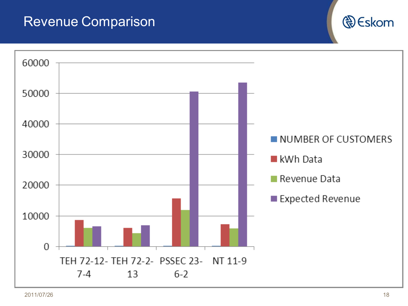#### Revenue Comparison



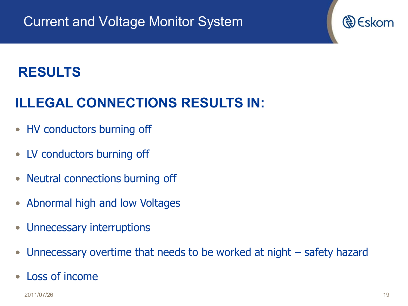## **ILLEGAL CONNECTIONS RESULTS IN:**

- HV conductors burning off
- LV conductors burning off
- Neutral connections burning off
- Abnormal high and low Voltages
- Unnecessary interruptions
- Unnecessary overtime that needs to be worked at night safety hazard
- Loss of income

2011/07/26 19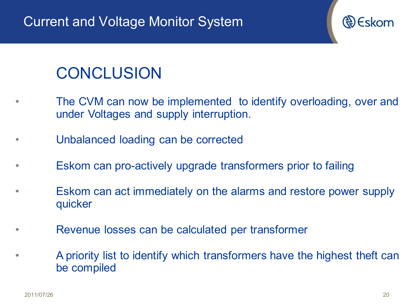

- The CVM can now be implemented to identify overloading, over and under Voltages and supply interruption.
- Unbalanced loading can be corrected
- Eskom can pro-actively upgrade transformers prior to failing
- Eskom can act immediately on the alarms and restore power supply quicker
- Revenue losses can be calculated per transformer
- A priority list to identify which transformers have the highest theft can be compiled

R) Eskom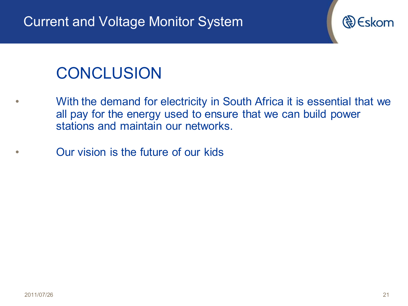

## **CONCLUSION**

- With the demand for electricity in South Africa it is essential that we all pay for the energy used to ensure that we can build power stations and maintain our networks.
- Our vision is the future of our kids